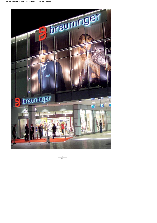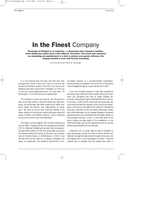## **In the Finest** Company

**Breuninger of Stuttgart is an institution—a department store steeped in tradition, where things have always been a little different. And better. This means that customers are demanding and sophisticated. In a drive to achieve even greater efficiency, the company decided to work with Porsche Consulting.** 

By: Elmar Brümmer, Photos by: Breuninger

It is more famous than the town hall next door and, alongside the Church of the Holy Cross, it is more or less the second landmark symbol of the city. If you want to go shopping and have a good time in Stuttgart, you don't go to just any normal department store. You pop down "to Breuninger's." And that's the way it's always been.

The ambience is lavish and cultured, and the goods on offer are of high quality. Customers expect very high standards, and Breuninger sets itself targets which reflect this. Willy Oergel, the director with responsibility for retail, says: "We want to be the most important retailer in the upper echelons of the German market offering an attractive range of fashion and lifestyle products—and in achieving this we want to work even more efficiently."

The retailer worked together with Porsche Consulting as early as 1996—President Willem van Agtmael and Porsche's CEO Dr. Wendelin Wiedeking know each other and appreciate each other's talents. At that time, Breuninger was shown the methods behind the success of the sports car manufacturer at Porsche's factory in Zuffenhausen. In 2003, it was felt that the time was right for a change in Stuttgart's city center. As Oergel said: "We wanted to evolve from a function-based company to a process-oriented organization. Porsche had set an example for how to do this. And the same rules of engagement apply in auto-making and in retail."

If you are constantly seeking to meet high expectations and ensure that customers receive superb service and treatment, you sometimes also have to adopt different approaches. Eduard Breuninger himself believed this to be true. It was back in 1881 that he, along with two employees, and one trainee founded the company, which was to be modern, lavish, and focus on the needs of the customer. These efforts were soon rewarded. By the mid-1930s, Breuninger already had 2,000 employees, and for decades Stuttgart's showpiece department store was considered to be the largest retailer on the European continent. It was—in the truest sense of the word—always one step ahead of the competition: In the 1950s Breuninger was the first department store to provide elevators and escalators for its customers.

Customers now no longer need to travel to Stuttgart to enjoy Breuninger's quality and level of service. Willem van Agtmael manages fourteen stores throughout Germany, but the flagship store—one of the largest in Europe—is still the original store in Stuttgart that has already been voted >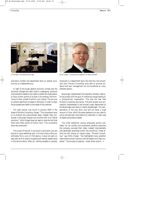



A fine sight: The retailer Breuninger Willy Oergel: "Consulting has helped us to help ourselves"

Germany's number one department store on several occasions by an independent jury.

In light of the tough general economic climate and the structural changes the retail trade is undergoing, profound improvements needed to be made to enable the organization to enjoy further growth at its sites in Nuremberg, the Main-Taunus Center outside Frankfurt, and Leipzig. The aim was to achieve significant increases in efficiency in order to align the processes even better to the needs of the customer.

The right partner was found in January 2003 in the shape of Porsche Consulting. Oergel: "The consultants came to us without any preconceived ideas. Instead, they conducted a thorough analysis and worked with us to devise solutions." Willy Oergel does not seek to hide the fact that there were often points of friction here: "The consultants were very awkward."

This is part of the job. If you touch a sore point, you are bound to cause additional pain. The main thing is that you ultimately find a cure. At first glance, it does not seem an easy task at all to clearly recognize and identify added value in the service sector. After all, nothing tangible is actually

produced in a department store. But here too, the consultants from Porsche Consulting were able to provide evidence that lean management can be transferred to many different sectors.

Breuninger implemented the Operation Phoenix restructuring project with the goal of instituting change leading to a process-driven organization. This was the task that Porsche Consulting was facing. The pilot project was successfully implemented in the women's wear department at the BreuningerLand store in nearby Sindelfingen: The reorganization of the way stock was laid out saved a huge amount of time, which the sales assistants are now able to use to provide even more advice to customers. A clear case of added value being created.

The initial skepticism among employees quickly subsided. For six months, the consultants carefully examined the company, pursued their ideas, created improvements and generated awareness within the workforce. These efforts are still having an impact today. "Porsche Consulting," says Willy Oergel, "has highlighted many potential areas where we can improve, and has helped us to help ourselves." The process is ongoing—under direct control. <